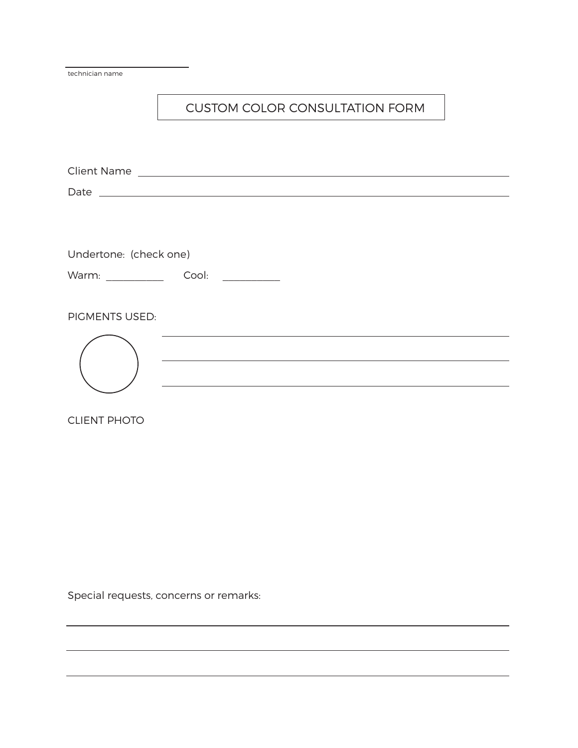| technician name        |                                                                                                                       |
|------------------------|-----------------------------------------------------------------------------------------------------------------------|
|                        | <b>CUSTOM COLOR CONSULTATION FORM</b>                                                                                 |
|                        |                                                                                                                       |
|                        |                                                                                                                       |
|                        |                                                                                                                       |
|                        |                                                                                                                       |
| Undertone: (check one) |                                                                                                                       |
|                        |                                                                                                                       |
| <b>PIGMENTS USED:</b>  |                                                                                                                       |
|                        | <u> 1980 - Johann Barbara, martxa alemaniar amerikan basar dan basar dan basar dan basar dalam basar dan basar da</u> |
| <b>CLIENT PHOTO</b>    |                                                                                                                       |

<u> 1989 - Johann Stoff, deutscher Stoff, der Stoff, der Stoff, der Stoff, der Stoff, der Stoff, der Stoff, der S</u>

Special requests, concerns or remarks: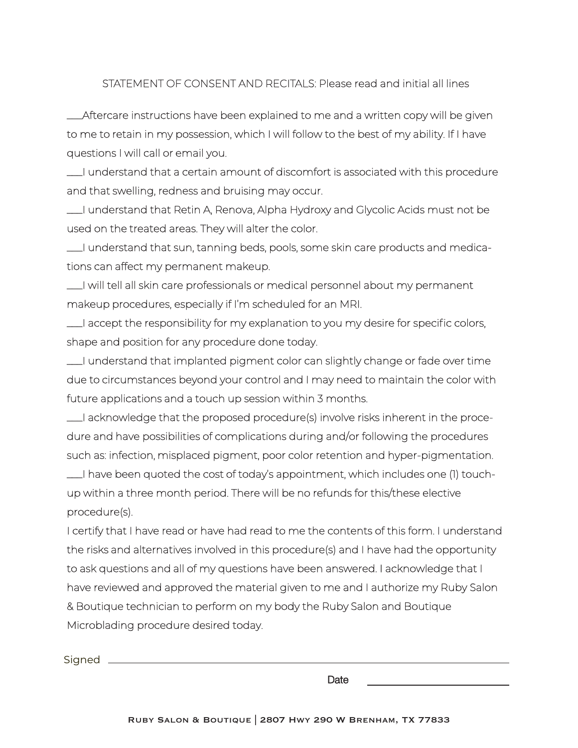STATEMENT OF CONSENT AND RECITALS: Please read and initial all lines

\_\_\_Aftercare instructions have been explained to me and a written copy will be given to me to retain in my possession, which I will follow to the best of my ability. If I have questions I will call or email you.

\_\_\_I understand that a certain amount of discomfort is associated with this procedure and that swelling, redness and bruising may occur.

\_\_\_I understand that Retin A, Renova, Alpha Hydroxy and Glycolic Acids must not be used on the treated areas. They will alter the color.

\_\_\_I understand that sun, tanning beds, pools, some skin care products and medications can affect my permanent makeup.

\_\_\_I will tell all skin care professionals or medical personnel about my permanent makeup procedures, especially if I'm scheduled for an MRI.

\_\_\_I accept the responsibility for my explanation to you my desire for specific colors, shape and position for any procedure done today.

\_\_\_I understand that implanted pigment color can slightly change or fade over time due to circumstances beyond your control and I may need to maintain the color with future applications and a touch up session within 3 months.

\_\_\_I acknowledge that the proposed procedure(s) involve risks inherent in the procedure and have possibilities of complications during and/or following the procedures such as: infection, misplaced pigment, poor color retention and hyper-pigmentation.

\_\_\_I have been quoted the cost of today's appointment, which includes one (1) touchup within a three month period. There will be no refunds for this/these elective procedure(s).

I certify that I have read or have had read to me the contents of this form. I understand the risks and alternatives involved in this procedure(s) and I have had the opportunity to ask questions and all of my questions have been answered. I acknowledge that I have reviewed and approved the material given to me and I authorize my Ruby Salon & Boutique technician to perform on my body the Ruby Salon and Boutique Microblading procedure desired today.

Signed \_\_\_\_\_\_\_\_\_\_\_

Date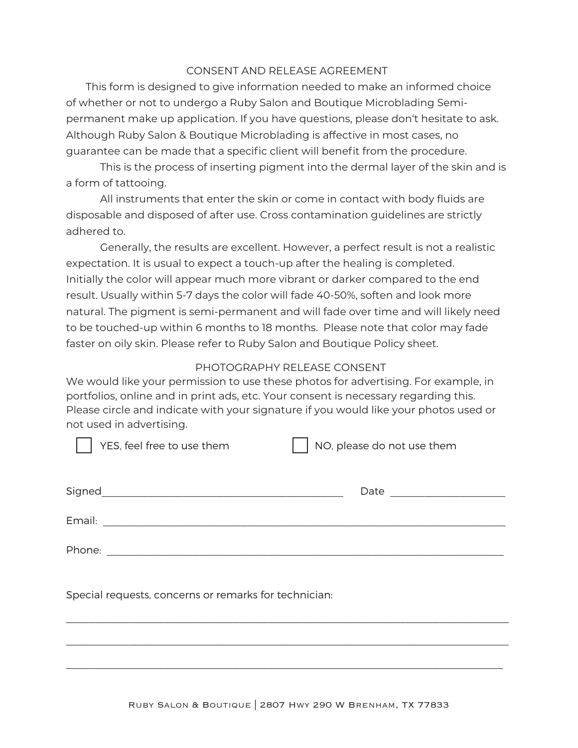## CONSENT AND RELEASE AGREEMENT

This form is designed to give information needed to make an informed choice of whether or not to undergo a Ruby Salon and Boutique Microblading Semipermanent make up application. If you have questions, please don't hesitate to ask. Although Ruby Salon & Boutique Microblading is affective in most cases, no guarantee can be made that a specific client will benefit from the procedure.

This is the process of inserting pigment into the dermal layer of the skin and is a form of tattooing.

All instruments that enter the skin or come in contact with body fluids are disposable and disposed of after use. Cross contamination guidelines are strictly adhered to.

Generally, the results are excellent. However, a perfect result is not a realistic expectation. It is usual to expect a touch-up after the healing is completed. Initially the color will appear much more vibrant or darker compared to the end result. Usually within 5-7 days the color will fade 40-50%, soften and look more natural. The pigment is semi-permanent and will fade over time and will likely need to be touched-up within 6 months to 18 months. Please note that color may fade faster on oily skin. Please refer to Ruby Salon and Boutique Policy sheet.

### PHOTOGRAPHY RELEASE CONSENT

We would like your permission to use these photos for advertising. For example, in portfolios, online and in print ads, etc. Your consent is necessary regarding this. Please circle and indicate with your signature if you would like your photos used or not used in advertising.

| YES, feel free to use them                                                                                                     | NO, please do not use them |
|--------------------------------------------------------------------------------------------------------------------------------|----------------------------|
|                                                                                                                                | Date <u>_____________</u>  |
|                                                                                                                                |                            |
| Phone:<br><u> 1980 - Jan Samuel Barbara, martin da shekara 1980 - An tsa a shekara 1980 - An tsa a shekara 1980 - An tsa a</u> |                            |
| Special requests, concerns or remarks for technician:                                                                          |                            |

 $\_$  , and the contribution of the contribution of the contribution of the contribution of  $\mathcal{L}_\text{max}$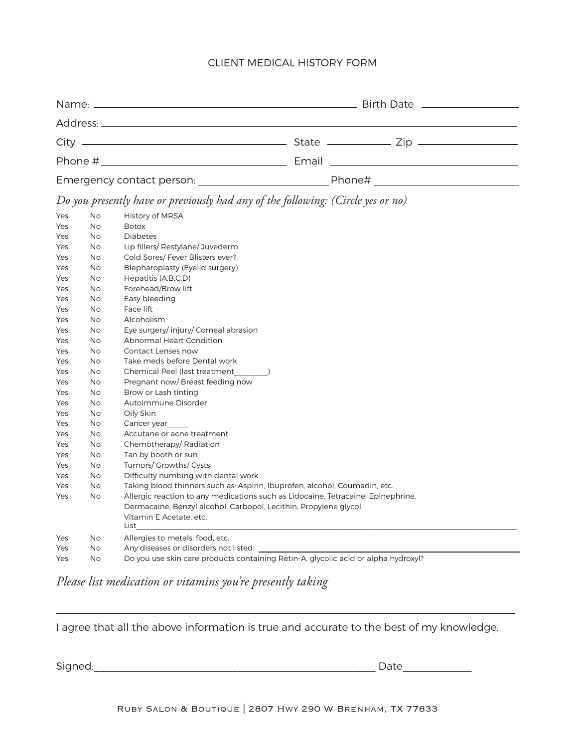#### CLIENT MEDICAL HISTORY FORM

|                           | Birth Date __________________ |
|---------------------------|-------------------------------|
|                           |                               |
|                           |                               |
|                           |                               |
| Emergency contact person: | Phone#                        |

*Do you presently have or previously had any of the following: (Circle yes or no)* 

| Yes | <b>No</b> | <b>History of MRSA</b>                                                             |
|-----|-----------|------------------------------------------------------------------------------------|
| Yes | <b>No</b> | <b>Botox</b>                                                                       |
| Yes | <b>No</b> | <b>Diabetes</b>                                                                    |
| Yes | No        | Lip fillers/ Restylane/ Juvederm                                                   |
| Yes | No        | Cold Sores/Fever Blisters ever?                                                    |
| Yes | <b>No</b> | Blepharoplasty (Eyelid surgery)                                                    |
| Yes | <b>No</b> | Hepatitis (A,B,C,D)                                                                |
| Yes | <b>No</b> | Forehead/Brow lift                                                                 |
| Yes | No        | Easy bleeding                                                                      |
| Yes | No        | Face lift                                                                          |
| Yes | <b>No</b> | Alcoholism                                                                         |
| Yes | <b>No</b> | Eye surgery/injury/Corneal abrasion                                                |
| Yes | <b>No</b> | <b>Abnormal Heart Condition</b>                                                    |
| Yes | No        | Contact Lenses now                                                                 |
| Yes | No        | Take meds before Dental work                                                       |
| Yes | No        | Chemical Peel (last treatment                                                      |
| Yes | <b>No</b> | Pregnant now/Breast feeding now                                                    |
| Yes | <b>No</b> | Brow or Lash tinting                                                               |
| Yes | No        | Autoimmune Disorder                                                                |
| Yes | No        | Oily Skin                                                                          |
| Yes | <b>No</b> | Cancer year                                                                        |
| Yes | <b>No</b> | Accutane or acne treatment                                                         |
| Yes | No        | Chemotherapy/Radiation                                                             |
| Yes | No        | Tan by booth or sun                                                                |
| Yes | No        | Tumors/ Growths/ Cysts                                                             |
| Yes | <b>No</b> | Difficulty numbing with dental work                                                |
| Yes | <b>No</b> | Taking blood thinners such as: Aspirin, Ibuprofen, alcohol, Coumadin, etc.         |
| Yes | <b>No</b> | Allergic reaction to any medications such as Lidocaine, Tetracaine, Epinephrine,   |
|     |           | Dermacaine, Benzyl alcohol, Carbopol, Lecithin, Propylene glycol,                  |
|     |           | Vitamin E Acetate, etc.                                                            |
|     |           | List                                                                               |
| Yes | <b>No</b> | Allergies to metals, food, etc.                                                    |
| Yes | <b>No</b> | Any diseases or disorders not listed: ______                                       |
| Yes | <b>No</b> | Do you use skin care products containing Retin-A, glycolic acid or alpha hydroxyl? |

*Please list medication or vitamins you're presently taking*

I agree that all the above information is true and accurate to the best of my knowledge.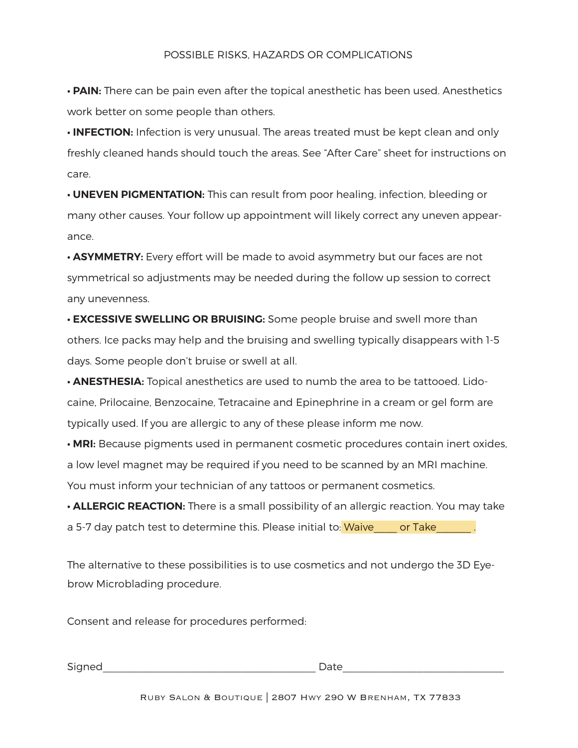**• PAIN:** There can be pain even after the topical anesthetic has been used. Anesthetics work better on some people than others.

**• INFECTION:** Infection is very unusual. The areas treated must be kept clean and only freshly cleaned hands should touch the areas. See "After Care" sheet for instructions on care.

**• UNEVEN PIGMENTATION:** This can result from poor healing, infection, bleeding or many other causes. Your follow up appointment will likely correct any uneven appearance.

• **ASYMMETRY:** Every effort will be made to avoid asymmetry but our faces are not symmetrical so adjustments may be needed during the follow up session to correct any unevenness.

**• EXCESSIVE SWELLING OR BRUISING:** Some people bruise and swell more than others. Ice packs may help and the bruising and swelling typically disappears with 1-5 days. Some people don't bruise or swell at all.

**• ANESTHESIA:** Topical anesthetics are used to numb the area to be tattooed. Lidocaine, Prilocaine, Benzocaine, Tetracaine and Epinephrine in a cream or gel form are typically used. If you are allergic to any of these please inform me now.

**• MRI:** Because pigments used in permanent cosmetic procedures contain inert oxides, a low level magnet may be required if you need to be scanned by an MRI machine. You must inform your technician of any tattoos or permanent cosmetics.

**• ALLERGIC REACTION:** There is a small possibility of an allergic reaction. You may take a 5-7 day patch test to determine this. Please initial to: Waive cor Take and in the state of  $\sim$ 

The alternative to these possibilities is to use cosmetics and not undergo the 3D Eyebrow Microblading procedure.

Consent and release for procedures performed:

Signed **Example 20** and the set of the set of the set of the set of the set of the set of the set of the set of the set of the set of the set of the set of the set of the set of the set of the set of the set of the set of